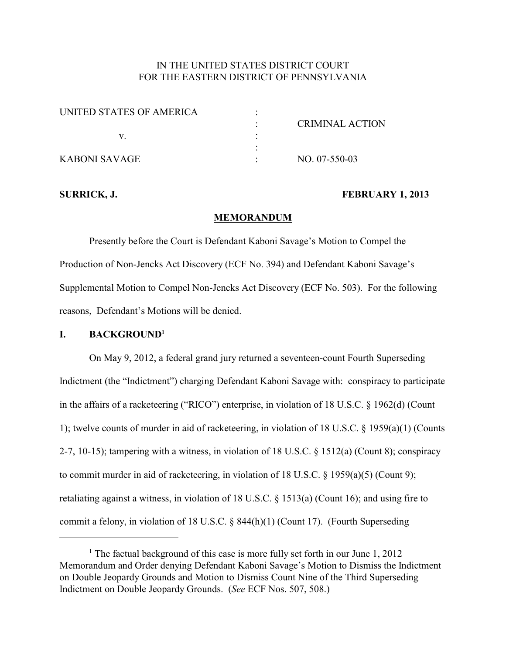# IN THE UNITED STATES DISTRICT COURT FOR THE EASTERN DISTRICT OF PENNSYLVANIA

| UNITED STATES OF AMERICA |                        |
|--------------------------|------------------------|
|                          | <b>CRIMINAL ACTION</b> |
|                          |                        |
|                          |                        |
| KABONI SAVAGE            | $NO. 07-550-03$        |

## **SURRICK, J. FEBRUARY 1, 2013**

### **MEMORANDUM**

Presently before the Court is Defendant Kaboni Savage's Motion to Compel the Production of Non-Jencks Act Discovery (ECF No. 394) and Defendant Kaboni Savage's Supplemental Motion to Compel Non-Jencks Act Discovery (ECF No. 503). For the following reasons, Defendant's Motions will be denied.

# **I. BACKGROUND<sup>1</sup>**

On May 9, 2012, a federal grand jury returned a seventeen-count Fourth Superseding Indictment (the "Indictment") charging Defendant Kaboni Savage with: conspiracy to participate in the affairs of a racketeering ("RICO") enterprise, in violation of 18 U.S.C. § 1962(d) (Count 1); twelve counts of murder in aid of racketeering, in violation of 18 U.S.C. § 1959(a)(1) (Counts 2-7, 10-15); tampering with a witness, in violation of 18 U.S.C. § 1512(a) (Count 8); conspiracy to commit murder in aid of racketeering, in violation of 18 U.S.C. § 1959(a)(5) (Count 9); retaliating against a witness, in violation of 18 U.S.C. § 1513(a) (Count 16); and using fire to commit a felony, in violation of 18 U.S.C. § 844(h)(1) (Count 17). (Fourth Superseding

<sup>&</sup>lt;sup>1</sup> The factual background of this case is more fully set forth in our June  $1, 2012$ Memorandum and Order denying Defendant Kaboni Savage's Motion to Dismiss the Indictment on Double Jeopardy Grounds and Motion to Dismiss Count Nine of the Third Superseding Indictment on Double Jeopardy Grounds. (*See* ECF Nos. 507, 508.)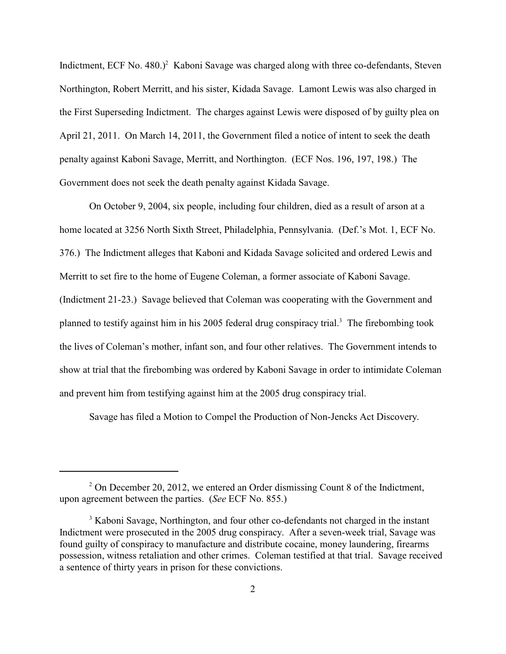Indictment, ECF No. 480.)<sup>2</sup> Kaboni Savage was charged along with three co-defendants, Steven Northington, Robert Merritt, and his sister, Kidada Savage. Lamont Lewis was also charged in the First Superseding Indictment. The charges against Lewis were disposed of by guilty plea on April 21, 2011. On March 14, 2011, the Government filed a notice of intent to seek the death penalty against Kaboni Savage, Merritt, and Northington. (ECF Nos. 196, 197, 198.) The Government does not seek the death penalty against Kidada Savage.

On October 9, 2004, six people, including four children, died as a result of arson at a home located at 3256 North Sixth Street, Philadelphia, Pennsylvania. (Def.'s Mot. 1, ECF No. 376.) The Indictment alleges that Kaboni and Kidada Savage solicited and ordered Lewis and Merritt to set fire to the home of Eugene Coleman, a former associate of Kaboni Savage. (Indictment 21-23.) Savage believed that Coleman was cooperating with the Government and planned to testify against him in his 2005 federal drug conspiracy trial.<sup>3</sup> The firebombing took the lives of Coleman's mother, infant son, and four other relatives. The Government intends to show at trial that the firebombing was ordered by Kaboni Savage in order to intimidate Coleman and prevent him from testifying against him at the 2005 drug conspiracy trial.

Savage has filed a Motion to Compel the Production of Non-Jencks Act Discovery.

 $2^{\circ}$  On December 20, 2012, we entered an Order dismissing Count 8 of the Indictment, upon agreement between the parties. (*See* ECF No. 855.)

<sup>&</sup>lt;sup>3</sup> Kaboni Savage, Northington, and four other co-defendants not charged in the instant Indictment were prosecuted in the 2005 drug conspiracy. After a seven-week trial, Savage was found guilty of conspiracy to manufacture and distribute cocaine, money laundering, firearms possession, witness retaliation and other crimes. Coleman testified at that trial. Savage received a sentence of thirty years in prison for these convictions.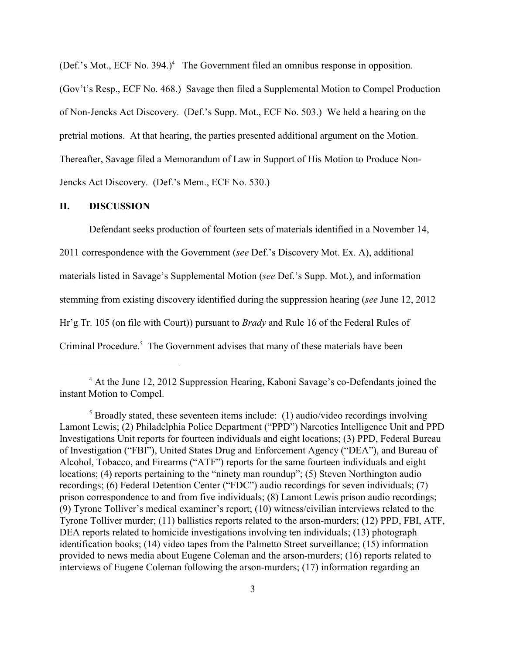(Def.'s Mot., ECF No. 394.) $<sup>4</sup>$  The Government filed an omnibus response in opposition.</sup>

(Gov't's Resp., ECF No. 468.) Savage then filed a Supplemental Motion to Compel Production of Non-Jencks Act Discovery. (Def.'s Supp. Mot., ECF No. 503.) We held a hearing on the pretrial motions. At that hearing, the parties presented additional argument on the Motion. Thereafter, Savage filed a Memorandum of Law in Support of His Motion to Produce Non-Jencks Act Discovery. (Def.'s Mem., ECF No. 530.)

## **II. DISCUSSION**

Defendant seeks production of fourteen sets of materials identified in a November 14, 2011 correspondence with the Government (*see* Def.'s Discovery Mot. Ex. A), additional materials listed in Savage's Supplemental Motion (*see* Def.'s Supp. Mot.), and information stemming from existing discovery identified during the suppression hearing (*see* June 12, 2012 Hr'g Tr. 105 (on file with Court)) pursuant to *Brady* and Rule 16 of the Federal Rules of Criminal Procedure.<sup>5</sup> The Government advises that many of these materials have been

 $4$  At the June 12, 2012 Suppression Hearing, Kaboni Savage's co-Defendants joined the instant Motion to Compel.

 $5$  Broadly stated, these seventeen items include: (1) audio/video recordings involving Lamont Lewis; (2) Philadelphia Police Department ("PPD") Narcotics Intelligence Unit and PPD Investigations Unit reports for fourteen individuals and eight locations; (3) PPD, Federal Bureau of Investigation ("FBI"), United States Drug and Enforcement Agency ("DEA"), and Bureau of Alcohol, Tobacco, and Firearms ("ATF") reports for the same fourteen individuals and eight locations; (4) reports pertaining to the "ninety man roundup"; (5) Steven Northington audio recordings; (6) Federal Detention Center ("FDC") audio recordings for seven individuals; (7) prison correspondence to and from five individuals; (8) Lamont Lewis prison audio recordings; (9) Tyrone Tolliver's medical examiner's report; (10) witness/civilian interviews related to the Tyrone Tolliver murder; (11) ballistics reports related to the arson-murders; (12) PPD, FBI, ATF, DEA reports related to homicide investigations involving ten individuals; (13) photograph identification books; (14) video tapes from the Palmetto Street surveillance; (15) information provided to news media about Eugene Coleman and the arson-murders; (16) reports related to interviews of Eugene Coleman following the arson-murders; (17) information regarding an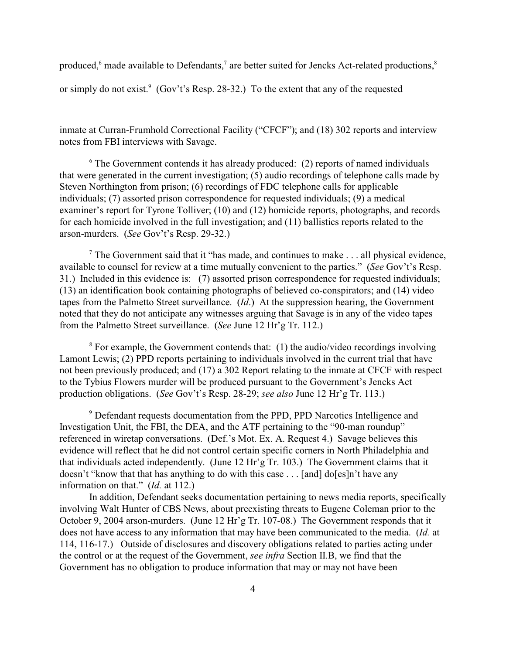produced,  $6$  made available to Defendants,  $7$  are better suited for Jencks Act-related productions,  $8$ 

or simply do not exist. (Gov't's Resp. 28-32.) To the extent that any of the requested

inmate at Curran-Frumhold Correctional Facility ("CFCF"); and (18) 302 reports and interview notes from FBI interviews with Savage.

 $6$  The Government contends it has already produced: (2) reports of named individuals that were generated in the current investigation; (5) audio recordings of telephone calls made by Steven Northington from prison; (6) recordings of FDC telephone calls for applicable individuals; (7) assorted prison correspondence for requested individuals; (9) a medical examiner's report for Tyrone Tolliver; (10) and (12) homicide reports, photographs, and records for each homicide involved in the full investigation; and (11) ballistics reports related to the arson-murders. (*See* Gov't's Resp. 29-32.)

The Government said that it "has made, and continues to make  $\ldots$  all physical evidence, available to counsel for review at a time mutually convenient to the parties." (*See* Gov't's Resp. 31.) Included in this evidence is: (7) assorted prison correspondence for requested individuals; (13) an identification book containing photographs of believed co-conspirators; and (14) video tapes from the Palmetto Street surveillance. (*Id*.) At the suppression hearing, the Government noted that they do not anticipate any witnesses arguing that Savage is in any of the video tapes from the Palmetto Street surveillance. (*See* June 12 Hr'g Tr. 112.)

 $8$  For example, the Government contends that: (1) the audio/video recordings involving Lamont Lewis; (2) PPD reports pertaining to individuals involved in the current trial that have not been previously produced; and (17) a 302 Report relating to the inmate at CFCF with respect to the Tybius Flowers murder will be produced pursuant to the Government's Jencks Act production obligations. (*See* Gov't's Resp. 28-29; *see also* June 12 Hr'g Tr. 113.)

<sup>9</sup> Defendant requests documentation from the PPD, PPD Narcotics Intelligence and Investigation Unit, the FBI, the DEA, and the ATF pertaining to the "90-man roundup" referenced in wiretap conversations. (Def.'s Mot. Ex. A. Request 4.) Savage believes this evidence will reflect that he did not control certain specific corners in North Philadelphia and that individuals acted independently. (June 12 Hr'g Tr. 103.) The Government claims that it doesn't "know that that has anything to do with this case . . . [and] do[es]n't have any information on that." (*Id.* at 112.)

In addition, Defendant seeks documentation pertaining to news media reports, specifically involving Walt Hunter of CBS News, about preexisting threats to Eugene Coleman prior to the October 9, 2004 arson-murders. (June 12 Hr'g Tr. 107-08.) The Government responds that it does not have access to any information that may have been communicated to the media. (*Id.* at 114, 116-17.) Outside of disclosures and discovery obligations related to parties acting under the control or at the request of the Government, *see infra* Section II.B, we find that the Government has no obligation to produce information that may or may not have been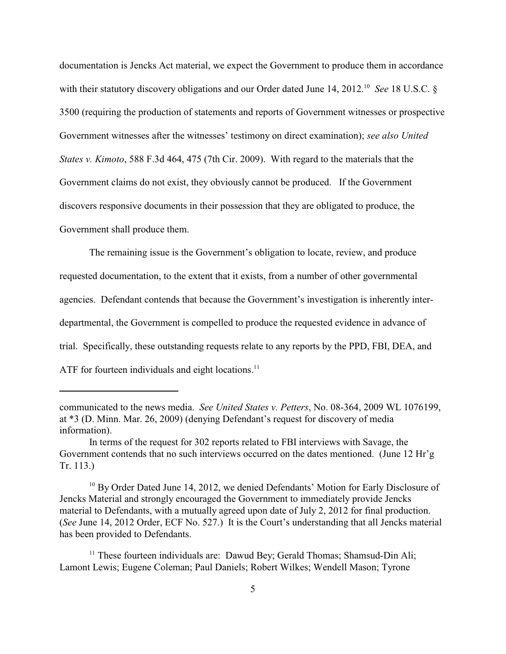documentation is Jencks Act material, we expect the Government to produce them in accordance with their statutory discovery obligations and our Order dated June 14, 2012.<sup>10</sup> See 18 U.S.C. § 3500 (requiring the production of statements and reports of Government witnesses or prospective Government witnesses after the witnesses' testimony on direct examination); *see also United States v. Kimoto*, 588 F.3d 464, 475 (7th Cir. 2009). With regard to the materials that the Government claims do not exist, they obviously cannot be produced. If the Government discovers responsive documents in their possession that they are obligated to produce, the Government shall produce them.

The remaining issue is the Government's obligation to locate, review, and produce requested documentation, to the extent that it exists, from a number of other governmental agencies. Defendant contends that because the Government's investigation is inherently interdepartmental, the Government is compelled to produce the requested evidence in advance of trial. Specifically, these outstanding requests relate to any reports by the PPD, FBI, DEA, and ATF for fourteen individuals and eight locations.<sup>11</sup>

communicated to the news media. *See United States v. Petters*, No. 08-364, 2009 WL 1076199, at \*3 (D. Minn. Mar. 26, 2009) (denying Defendant's request for discovery of media information).

In terms of the request for 302 reports related to FBI interviews with Savage, the Government contends that no such interviews occurred on the dates mentioned. (June 12 Hr'g Tr. 113.)

 $10$  By Order Dated June 14, 2012, we denied Defendants' Motion for Early Disclosure of Jencks Material and strongly encouraged the Government to immediately provide Jencks material to Defendants, with a mutually agreed upon date of July 2, 2012 for final production. (*See* June 14, 2012 Order, ECF No. 527.) It is the Court's understanding that all Jencks material has been provided to Defendants.

 $11$  These fourteen individuals are: Dawud Bey; Gerald Thomas; Shamsud-Din Ali; Lamont Lewis; Eugene Coleman; Paul Daniels; Robert Wilkes; Wendell Mason; Tyrone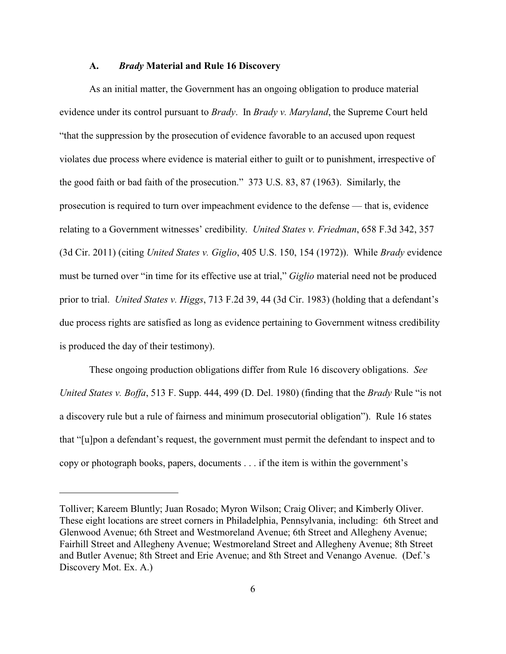#### **A.** *Brady* **Material and Rule 16 Discovery**

As an initial matter, the Government has an ongoing obligation to produce material evidence under its control pursuant to *Brady*. In *Brady v. Maryland*, the Supreme Court held "that the suppression by the prosecution of evidence favorable to an accused upon request violates due process where evidence is material either to guilt or to punishment, irrespective of the good faith or bad faith of the prosecution." 373 U.S. 83, 87 (1963). Similarly, the prosecution is required to turn over impeachment evidence to the defense — that is, evidence relating to a Government witnesses' credibility. *United States v. Friedman*, 658 F.3d 342, 357 (3d Cir. 2011) (citing *United States v. Giglio*, 405 U.S. 150, 154 (1972)). While *Brady* evidence must be turned over "in time for its effective use at trial," *Giglio* material need not be produced prior to trial. *United States v. Higgs*, 713 F.2d 39, 44 (3d Cir. 1983) (holding that a defendant's due process rights are satisfied as long as evidence pertaining to Government witness credibility is produced the day of their testimony).

These ongoing production obligations differ from Rule 16 discovery obligations. *See United States v. Boffa*, 513 F. Supp. 444, 499 (D. Del. 1980) (finding that the *Brady* Rule "is not a discovery rule but a rule of fairness and minimum prosecutorial obligation"). Rule 16 states that "[u]pon a defendant's request, the government must permit the defendant to inspect and to copy or photograph books, papers, documents . . . if the item is within the government's

Tolliver; Kareem Bluntly; Juan Rosado; Myron Wilson; Craig Oliver; and Kimberly Oliver. These eight locations are street corners in Philadelphia, Pennsylvania, including: 6th Street and Glenwood Avenue; 6th Street and Westmoreland Avenue; 6th Street and Allegheny Avenue; Fairhill Street and Allegheny Avenue; Westmoreland Street and Allegheny Avenue; 8th Street and Butler Avenue; 8th Street and Erie Avenue; and 8th Street and Venango Avenue. (Def.'s Discovery Mot. Ex. A.)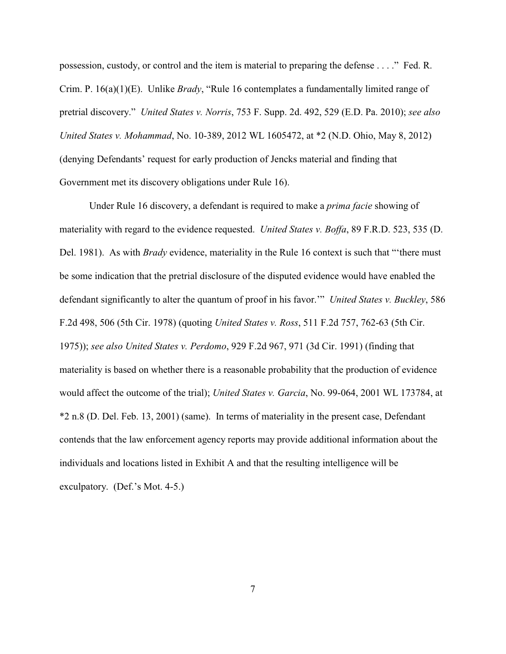possession, custody, or control and the item is material to preparing the defense . . . ." Fed. R. Crim. P. 16(a)(1)(E). Unlike *Brady*, "Rule 16 contemplates a fundamentally limited range of pretrial discovery." *United States v. Norris*, 753 F. Supp. 2d. 492, 529 (E.D. Pa. 2010); *see also United States v. Mohammad*, No. 10-389, 2012 WL 1605472, at \*2 (N.D. Ohio, May 8, 2012) (denying Defendants' request for early production of Jencks material and finding that Government met its discovery obligations under Rule 16).

Under Rule 16 discovery, a defendant is required to make a *prima facie* showing of materiality with regard to the evidence requested. *United States v. Boffa*, 89 F.R.D. 523, 535 (D. Del. 1981). As with *Brady* evidence, materiality in the Rule 16 context is such that "'there must be some indication that the pretrial disclosure of the disputed evidence would have enabled the defendant significantly to alter the quantum of proof in his favor.'" *United States v. Buckley*, 586 F.2d 498, 506 (5th Cir. 1978) (quoting *United States v. Ross*, 511 F.2d 757, 762-63 (5th Cir. 1975)); *see also United States v. Perdomo*, 929 F.2d 967, 971 (3d Cir. 1991) (finding that materiality is based on whether there is a reasonable probability that the production of evidence would affect the outcome of the trial); *United States v. Garcia*, No. 99-064, 2001 WL 173784, at \*2 n.8 (D. Del. Feb. 13, 2001) (same). In terms of materiality in the present case, Defendant contends that the law enforcement agency reports may provide additional information about the individuals and locations listed in Exhibit A and that the resulting intelligence will be exculpatory. (Def.'s Mot. 4-5.)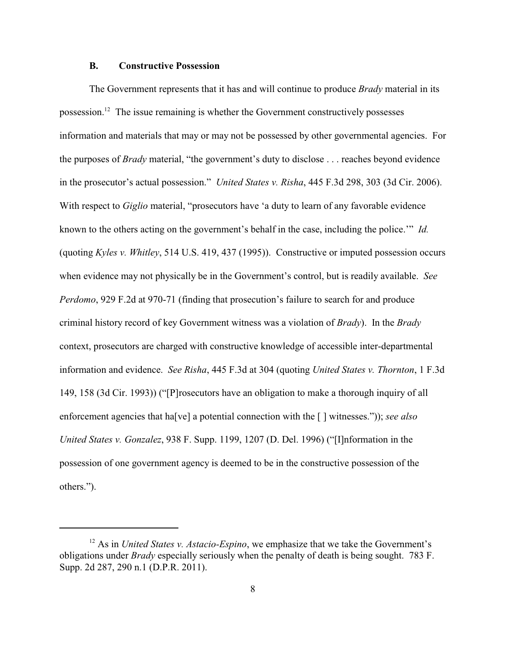#### **B. Constructive Possession**

The Government represents that it has and will continue to produce *Brady* material in its possession.<sup>12</sup> The issue remaining is whether the Government constructively possesses information and materials that may or may not be possessed by other governmental agencies. For the purposes of *Brady* material, "the government's duty to disclose . . . reaches beyond evidence in the prosecutor's actual possession." *United States v. Risha*, 445 F.3d 298, 303 (3d Cir. 2006). With respect to *Giglio* material, "prosecutors have 'a duty to learn of any favorable evidence known to the others acting on the government's behalf in the case, including the police.'" *Id.* (quoting *Kyles v. Whitley*, 514 U.S. 419, 437 (1995)). Constructive or imputed possession occurs when evidence may not physically be in the Government's control, but is readily available. *See Perdomo*, 929 F.2d at 970-71 (finding that prosecution's failure to search for and produce criminal history record of key Government witness was a violation of *Brady*). In the *Brady* context, prosecutors are charged with constructive knowledge of accessible inter-departmental information and evidence. *See Risha*, 445 F.3d at 304 (quoting *United States v. Thornton*, 1 F.3d 149, 158 (3d Cir. 1993)) ("[P]rosecutors have an obligation to make a thorough inquiry of all enforcement agencies that ha[ve] a potential connection with the [ ] witnesses.")); *see also United States v. Gonzalez*, 938 F. Supp. 1199, 1207 (D. Del. 1996) ("[I]nformation in the possession of one government agency is deemed to be in the constructive possession of the others.").

 $12$  As in *United States v. Astacio-Espino*, we emphasize that we take the Government's obligations under *Brady* especially seriously when the penalty of death is being sought. 783 F. Supp. 2d 287, 290 n.1 (D.P.R. 2011).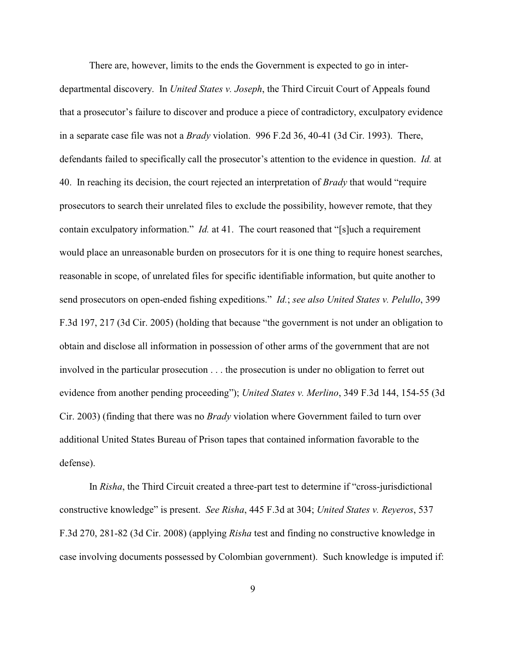There are, however, limits to the ends the Government is expected to go in interdepartmental discovery. In *United States v. Joseph*, the Third Circuit Court of Appeals found that a prosecutor's failure to discover and produce a piece of contradictory, exculpatory evidence in a separate case file was not a *Brady* violation. 996 F.2d 36, 40-41 (3d Cir. 1993). There, defendants failed to specifically call the prosecutor's attention to the evidence in question. *Id.* at 40. In reaching its decision, the court rejected an interpretation of *Brady* that would "require prosecutors to search their unrelated files to exclude the possibility, however remote, that they contain exculpatory information." *Id.* at 41. The court reasoned that "[s]uch a requirement would place an unreasonable burden on prosecutors for it is one thing to require honest searches, reasonable in scope, of unrelated files for specific identifiable information, but quite another to send prosecutors on open-ended fishing expeditions." *Id.*; *see also United States v. Pelullo*, 399 F.3d 197, 217 (3d Cir. 2005) (holding that because "the government is not under an obligation to obtain and disclose all information in possession of other arms of the government that are not involved in the particular prosecution . . . the prosecution is under no obligation to ferret out evidence from another pending proceeding"); *United States v. Merlino*, 349 F.3d 144, 154-55 (3d Cir. 2003) (finding that there was no *Brady* violation where Government failed to turn over additional United States Bureau of Prison tapes that contained information favorable to the defense).

In *Risha*, the Third Circuit created a three-part test to determine if "cross-jurisdictional constructive knowledge" is present. *See Risha*, 445 F.3d at 304; *United States v. Reyeros*, 537 F.3d 270, 281-82 (3d Cir. 2008) (applying *Risha* test and finding no constructive knowledge in case involving documents possessed by Colombian government). Such knowledge is imputed if: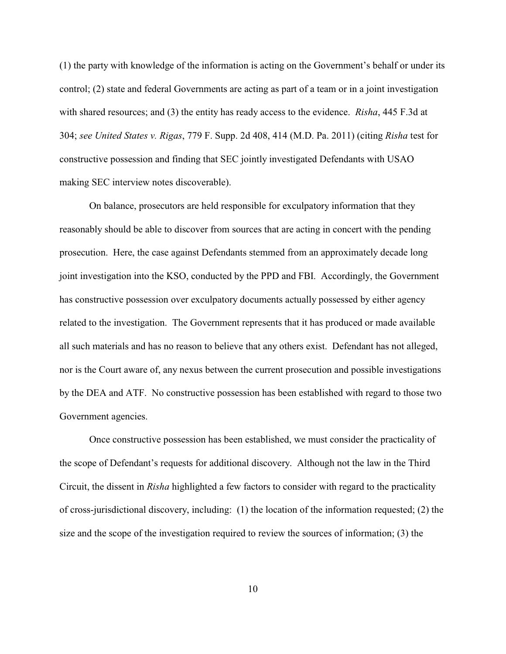(1) the party with knowledge of the information is acting on the Government's behalf or under its control; (2) state and federal Governments are acting as part of a team or in a joint investigation with shared resources; and (3) the entity has ready access to the evidence. *Risha*, 445 F.3d at 304; *see United States v. Rigas*, 779 F. Supp. 2d 408, 414 (M.D. Pa. 2011) (citing *Risha* test for constructive possession and finding that SEC jointly investigated Defendants with USAO making SEC interview notes discoverable).

On balance, prosecutors are held responsible for exculpatory information that they reasonably should be able to discover from sources that are acting in concert with the pending prosecution. Here, the case against Defendants stemmed from an approximately decade long joint investigation into the KSO, conducted by the PPD and FBI. Accordingly, the Government has constructive possession over exculpatory documents actually possessed by either agency related to the investigation. The Government represents that it has produced or made available all such materials and has no reason to believe that any others exist. Defendant has not alleged, nor is the Court aware of, any nexus between the current prosecution and possible investigations by the DEA and ATF. No constructive possession has been established with regard to those two Government agencies.

Once constructive possession has been established, we must consider the practicality of the scope of Defendant's requests for additional discovery. Although not the law in the Third Circuit, the dissent in *Risha* highlighted a few factors to consider with regard to the practicality of cross-jurisdictional discovery, including: (1) the location of the information requested; (2) the size and the scope of the investigation required to review the sources of information; (3) the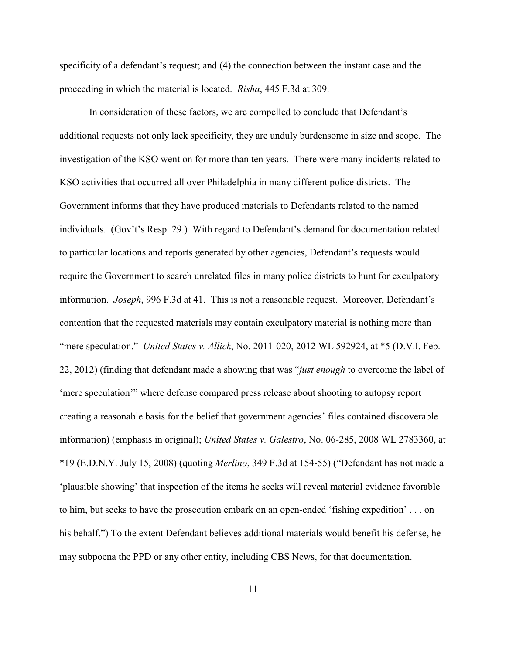specificity of a defendant's request; and (4) the connection between the instant case and the proceeding in which the material is located. *Risha*, 445 F.3d at 309.

In consideration of these factors, we are compelled to conclude that Defendant's additional requests not only lack specificity, they are unduly burdensome in size and scope. The investigation of the KSO went on for more than ten years. There were many incidents related to KSO activities that occurred all over Philadelphia in many different police districts. The Government informs that they have produced materials to Defendants related to the named individuals. (Gov't's Resp. 29.) With regard to Defendant's demand for documentation related to particular locations and reports generated by other agencies, Defendant's requests would require the Government to search unrelated files in many police districts to hunt for exculpatory information. *Joseph*, 996 F.3d at 41. This is not a reasonable request. Moreover, Defendant's contention that the requested materials may contain exculpatory material is nothing more than "mere speculation." *United States v. Allick*, No. 2011-020, 2012 WL 592924, at \*5 (D.V.I. Feb. 22, 2012) (finding that defendant made a showing that was "*just enough* to overcome the label of 'mere speculation'" where defense compared press release about shooting to autopsy report creating a reasonable basis for the belief that government agencies' files contained discoverable information) (emphasis in original); *United States v. Galestro*, No. 06-285, 2008 WL 2783360, at \*19 (E.D.N.Y. July 15, 2008) (quoting *Merlino*, 349 F.3d at 154-55) ("Defendant has not made a 'plausible showing' that inspection of the items he seeks will reveal material evidence favorable to him, but seeks to have the prosecution embark on an open-ended 'fishing expedition' . . . on his behalf.") To the extent Defendant believes additional materials would benefit his defense, he may subpoena the PPD or any other entity, including CBS News, for that documentation.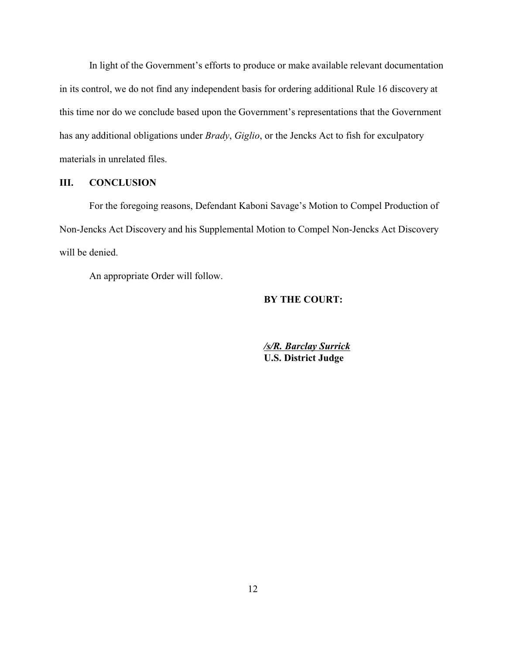In light of the Government's efforts to produce or make available relevant documentation in its control, we do not find any independent basis for ordering additional Rule 16 discovery at this time nor do we conclude based upon the Government's representations that the Government has any additional obligations under *Brady*, *Giglio*, or the Jencks Act to fish for exculpatory materials in unrelated files.

## **III. CONCLUSION**

For the foregoing reasons, Defendant Kaboni Savage's Motion to Compel Production of Non-Jencks Act Discovery and his Supplemental Motion to Compel Non-Jencks Act Discovery will be denied.

An appropriate Order will follow.

# **BY THE COURT:**

*/s/R. Barclay Surrick* **U.S. District Judge**